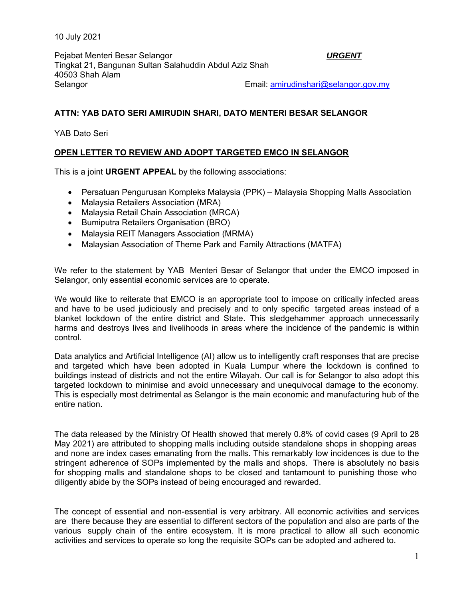10 July 2021

Pejabat Menteri Besar Selangor *URGENT*  Tingkat 21, Bangunan Sultan Salahuddin Abdul Aziz Shah 40503 Shah Alam Selangor Email: amirudinshari@selangor.gov.my

## **ATTN: YAB DATO SERI AMIRUDIN SHARI, DATO MENTERI BESAR SELANGOR**

YAB Dato Seri

## **OPEN LETTER TO REVIEW AND ADOPT TARGETED EMCO IN SELANGOR**

This is a joint **URGENT APPEAL** by the following associations:

- Persatuan Pengurusan Kompleks Malaysia (PPK) Malaysia Shopping Malls Association
- Malaysia Retailers Association (MRA)
- Malaysia Retail Chain Association (MRCA)
- Bumiputra Retailers Organisation (BRO)
- Malaysia REIT Managers Association (MRMA)
- Malaysian Association of Theme Park and Family Attractions (MATFA)

We refer to the statement by YAB Menteri Besar of Selangor that under the EMCO imposed in Selangor, only essential economic services are to operate.

We would like to reiterate that EMCO is an appropriate tool to impose on critically infected areas and have to be used judiciously and precisely and to only specific targeted areas instead of a blanket lockdown of the entire district and State. This sledgehammer approach unnecessarily harms and destroys lives and livelihoods in areas where the incidence of the pandemic is within control.

Data analytics and Artificial Intelligence (AI) allow us to intelligently craft responses that are precise and targeted which have been adopted in Kuala Lumpur where the lockdown is confined to buildings instead of districts and not the entire Wilayah. Our call is for Selangor to also adopt this targeted lockdown to minimise and avoid unnecessary and unequivocal damage to the economy. This is especially most detrimental as Selangor is the main economic and manufacturing hub of the entire nation.

The data released by the Ministry Of Health showed that merely 0.8% of covid cases (9 April to 28 May 2021) are attributed to shopping malls including outside standalone shops in shopping areas and none are index cases emanating from the malls. This remarkably low incidences is due to the stringent adherence of SOPs implemented by the malls and shops. There is absolutely no basis for shopping malls and standalone shops to be closed and tantamount to punishing those who diligently abide by the SOPs instead of being encouraged and rewarded.

The concept of essential and non-essential is very arbitrary. All economic activities and services are there because they are essential to different sectors of the population and also are parts of the various supply chain of the entire ecosystem. It is more practical to allow all such economic activities and services to operate so long the requisite SOPs can be adopted and adhered to.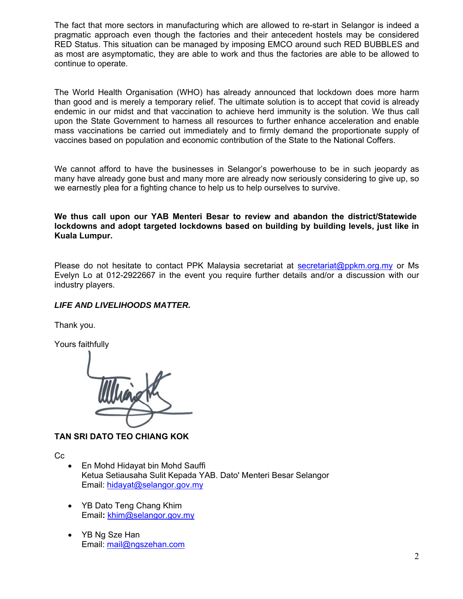The fact that more sectors in manufacturing which are allowed to re-start in Selangor is indeed a pragmatic approach even though the factories and their antecedent hostels may be considered RED Status. This situation can be managed by imposing EMCO around such RED BUBBLES and as most are asymptomatic, they are able to work and thus the factories are able to be allowed to continue to operate.

The World Health Organisation (WHO) has already announced that lockdown does more harm than good and is merely a temporary relief. The ultimate solution is to accept that covid is already endemic in our midst and that vaccination to achieve herd immunity is the solution. We thus call upon the State Government to harness all resources to further enhance acceleration and enable mass vaccinations be carried out immediately and to firmly demand the proportionate supply of vaccines based on population and economic contribution of the State to the National Coffers.

We cannot afford to have the businesses in Selangor's powerhouse to be in such jeopardy as many have already gone bust and many more are already now seriously considering to give up, so we earnestly plea for a fighting chance to help us to help ourselves to survive.

**We thus call upon our YAB Menteri Besar to review and abandon the district/Statewide lockdowns and adopt targeted lockdowns based on building by building levels, just like in Kuala Lumpur.** 

Please do not hesitate to contact PPK Malaysia secretariat at secretariat@ppkm.org.my or Ms Evelyn Lo at 012-2922667 in the event you require further details and/or a discussion with our industry players.

## *LIFE AND LIVELIHOODS MATTER.*

Thank you.

Yours faithfully



## **TAN SRI DATO TEO CHIANG KOK**

Cc

- En Mohd Hidayat bin Mohd Sauffi Ketua Setiausaha Sulit Kepada YAB. Dato' Menteri Besar Selangor Email: hidayat@selangor.gov.my
- YB Dato Teng Chang Khim Email**:** khim@selangor.gov.my
- YB Ng Sze Han Email: mail@ngszehan.com